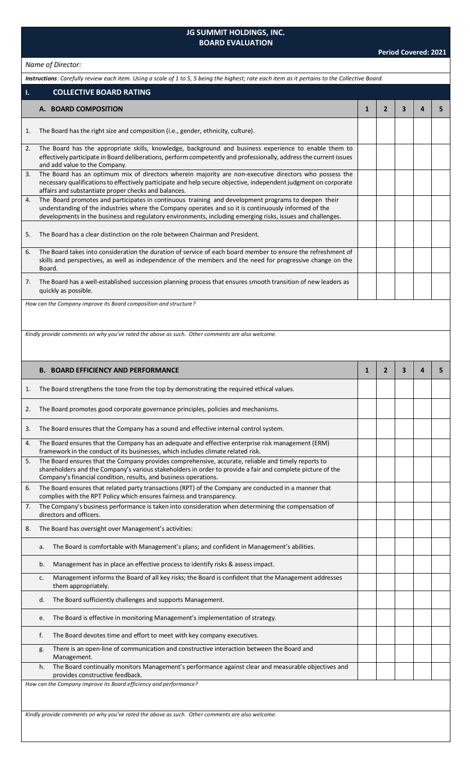## **JG SUMMIT HOLDINGS, INC. BOARD EVALUATION**

## *Name of Director:*

| Instructions: Carefully review each item. Using a scale of 1 to 5, 5 being the highest; rate each item as it pertains to the Collective Board. |                                                                                                                                                                                                                                                                                                                           |              |                |   |   |   |  |  |
|------------------------------------------------------------------------------------------------------------------------------------------------|---------------------------------------------------------------------------------------------------------------------------------------------------------------------------------------------------------------------------------------------------------------------------------------------------------------------------|--------------|----------------|---|---|---|--|--|
| $\mathbf{I}$ .                                                                                                                                 | <b>COLLECTIVE BOARD RATING</b>                                                                                                                                                                                                                                                                                            |              |                |   |   |   |  |  |
|                                                                                                                                                | A. BOARD COMPOSITION                                                                                                                                                                                                                                                                                                      | $\mathbf{1}$ | $\overline{2}$ | 3 | 4 | 5 |  |  |
| 1.                                                                                                                                             | The Board has the right size and composition (i.e., gender, ethnicity, culture).                                                                                                                                                                                                                                          |              |                |   |   |   |  |  |
| 2.                                                                                                                                             | The Board has the appropriate skills, knowledge, background and business experience to enable them to<br>effectively participate in Board deliberations, perform competently and professionally, address the current issues<br>and add value to the Company.                                                              |              |                |   |   |   |  |  |
| 3.                                                                                                                                             | The Board has an optimum mix of directors wherein majority are non-executive directors who possess the<br>necessary qualifications to effectively participate and help secure objective, independent judgment on corporate<br>affairs and substantiate proper checks and balances.                                        |              |                |   |   |   |  |  |
| 4.                                                                                                                                             | The Board promotes and participates in continuous training and development programs to deepen their<br>understanding of the industries where the Company operates and so it is continuously informed of the<br>developments in the business and regulatory environments, including emerging risks, issues and challenges. |              |                |   |   |   |  |  |
| 5.                                                                                                                                             | The Board has a clear distinction on the role between Chairman and President.                                                                                                                                                                                                                                             |              |                |   |   |   |  |  |
| 6.                                                                                                                                             | The Board takes into consideration the duration of service of each board member to ensure the refreshment of<br>skills and perspectives, as well as independence of the members and the need for progressive change on the<br>Board.                                                                                      |              |                |   |   |   |  |  |
| 7.                                                                                                                                             | The Board has a well-established succession planning process that ensures smooth transition of new leaders as<br>quickly as possible.                                                                                                                                                                                     |              |                |   |   |   |  |  |
|                                                                                                                                                | How can the Company improve its Board composition and structure?                                                                                                                                                                                                                                                          |              |                |   |   |   |  |  |
|                                                                                                                                                |                                                                                                                                                                                                                                                                                                                           |              |                |   |   |   |  |  |
|                                                                                                                                                | Kindly provide comments on why you've rated the above as such. Other comments are also welcome.                                                                                                                                                                                                                           |              |                |   |   |   |  |  |
|                                                                                                                                                |                                                                                                                                                                                                                                                                                                                           |              |                |   |   |   |  |  |
|                                                                                                                                                | <b>B. BOARD EFFICIENCY AND PERFORMANCE</b>                                                                                                                                                                                                                                                                                | $\mathbf{1}$ | $\overline{2}$ | 3 | 4 | 5 |  |  |
| 1.                                                                                                                                             | The Board strengthens the tone from the top by demonstrating the required ethical values.                                                                                                                                                                                                                                 |              |                |   |   |   |  |  |
| 2.                                                                                                                                             | The Board promotes good corporate governance principles, policies and mechanisms.                                                                                                                                                                                                                                         |              |                |   |   |   |  |  |
| 3.                                                                                                                                             | The Board ensures that the Company has a sound and effective internal control system.                                                                                                                                                                                                                                     |              |                |   |   |   |  |  |
| 4.                                                                                                                                             | The Board ensures that the Company has an adequate and effective enterprise risk management (ERM)<br>framework in the conduct of its businesses, which includes climate related risk.                                                                                                                                     |              |                |   |   |   |  |  |
| 5.                                                                                                                                             | The Board ensures that the Company provides comprehensive, accurate, reliable and timely reports to<br>shareholders and the Company's various stakeholders in order to provide a fair and complete picture of the<br>Company's financial condition, results, and business operations.                                     |              |                |   |   |   |  |  |
| 6.                                                                                                                                             | The Board ensures that related party transactions (RPT) of the Company are conducted in a manner that<br>complies with the RPT Policy which ensures fairness and transparency.                                                                                                                                            |              |                |   |   |   |  |  |
| 7.                                                                                                                                             | The Company's business performance is taken into consideration when determining the compensation of<br>directors and officers.                                                                                                                                                                                            |              |                |   |   |   |  |  |
| 8.                                                                                                                                             | The Board has oversight over Management's activities:                                                                                                                                                                                                                                                                     |              |                |   |   |   |  |  |
|                                                                                                                                                | The Board is comfortable with Management's plans; and confident in Management's abilities.<br>a.                                                                                                                                                                                                                          |              |                |   |   |   |  |  |
|                                                                                                                                                | Management has in place an effective process to identify risks & assess impact.<br>b.                                                                                                                                                                                                                                     |              |                |   |   |   |  |  |
|                                                                                                                                                | Management informs the Board of all key risks; the Board is confident that the Management addresses<br>c.<br>them appropriately.                                                                                                                                                                                          |              |                |   |   |   |  |  |
|                                                                                                                                                | The Board sufficiently challenges and supports Management.<br>d.                                                                                                                                                                                                                                                          |              |                |   |   |   |  |  |
|                                                                                                                                                | The Board is effective in monitoring Management's implementation of strategy.<br>e.                                                                                                                                                                                                                                       |              |                |   |   |   |  |  |
|                                                                                                                                                | f.<br>The Board devotes time and effort to meet with key company executives.                                                                                                                                                                                                                                              |              |                |   |   |   |  |  |
|                                                                                                                                                | There is an open-line of communication and constructive interaction between the Board and<br>g.<br>Management.                                                                                                                                                                                                            |              |                |   |   |   |  |  |
|                                                                                                                                                | The Board continually monitors Management's performance against clear and measurable objectives and<br>h.<br>provides constructive feedback.                                                                                                                                                                              |              |                |   |   |   |  |  |
| How can the Company improve its Board efficiency and performance?                                                                              |                                                                                                                                                                                                                                                                                                                           |              |                |   |   |   |  |  |
|                                                                                                                                                |                                                                                                                                                                                                                                                                                                                           |              |                |   |   |   |  |  |
|                                                                                                                                                | Kindly provide comments on why you've rated the above as such. Other comments are also welcome.                                                                                                                                                                                                                           |              |                |   |   |   |  |  |
|                                                                                                                                                |                                                                                                                                                                                                                                                                                                                           |              |                |   |   |   |  |  |
|                                                                                                                                                |                                                                                                                                                                                                                                                                                                                           |              |                |   |   |   |  |  |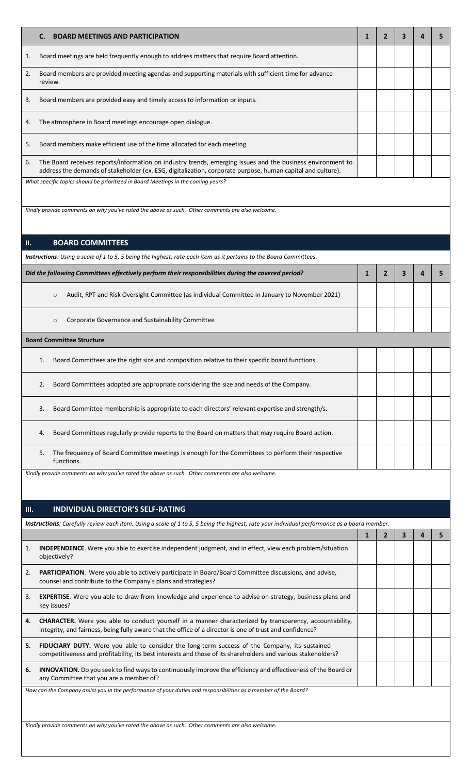| <b>BOARD MEETINGS AND PARTICIPATION</b><br>C.                                                                                                                                                                                   | 1            | 2              | 3                       | 4 | 5 |
|---------------------------------------------------------------------------------------------------------------------------------------------------------------------------------------------------------------------------------|--------------|----------------|-------------------------|---|---|
| Board meetings are held frequently enough to address matters that require Board attention.<br>1.                                                                                                                                |              |                |                         |   |   |
| 2.<br>Board members are provided meeting agendas and supporting materials with sufficient time for advance<br>review.                                                                                                           |              |                |                         |   |   |
| Board members are provided easy and timely access to information or inputs.<br>3.                                                                                                                                               |              |                |                         |   |   |
| The atmosphere in Board meetings encourage open dialogue.<br>4.                                                                                                                                                                 |              |                |                         |   |   |
| 5.<br>Board members make efficient use of the time allocated for each meeting.                                                                                                                                                  |              |                |                         |   |   |
| The Board receives reports/information on industry trends, emerging issues and the business environment to<br>6.<br>address the demands of stakeholder (ex. ESG, digitalization, corporate purpose, human capital and culture). |              |                |                         |   |   |
| What specific topics should be prioritized in Board Meetings in the coming years?                                                                                                                                               |              |                |                         |   |   |
| Kindly provide comments on why you've rated the above as such. Other comments are also welcome.                                                                                                                                 |              |                |                         |   |   |
| <b>BOARD COMMITTEES</b><br>H.                                                                                                                                                                                                   |              |                |                         |   |   |
|                                                                                                                                                                                                                                 |              |                |                         |   |   |
| Instructions: Using a scale of 1 to 5, 5 being the highest; rate each item as it pertains to the Board Committees.                                                                                                              |              |                |                         |   |   |
| Did the following Committees effectively perform their responsibilities during the covered period?                                                                                                                              | $\mathbf{1}$ | $\overline{2}$ | 3                       | 4 | 5 |
| Audit, RPT and Risk Oversight Committee (as individual Committee in January to November 2021)<br>$\circ$                                                                                                                        |              |                |                         |   |   |
| Corporate Governance and Sustainability Committee<br>$\circ$                                                                                                                                                                    |              |                |                         |   |   |
| <b>Board Committee Structure</b>                                                                                                                                                                                                |              |                |                         |   |   |
| Board Committees are the right size and composition relative to their specific board functions.<br>1.                                                                                                                           |              |                |                         |   |   |
| Board Committees adopted are appropriate considering the size and needs of the Company.<br>2.                                                                                                                                   |              |                |                         |   |   |
| Board Committee membership is appropriate to each directors' relevant expertise and strength/s.<br>3.                                                                                                                           |              |                |                         |   |   |
| Board Committees regularly provide reports to the Board on matters that may require Board action.<br>4.                                                                                                                         |              |                |                         |   |   |
| The frequency of Board Committee meetings is enough for the Committees to perform their respective<br>5.<br>functions.                                                                                                          |              |                |                         |   |   |
| Kindly provide comments on why you've rated the above as such. Other comments are also welcome.                                                                                                                                 |              |                |                         |   |   |
|                                                                                                                                                                                                                                 |              |                |                         |   |   |
| <b>INDIVIDUAL DIRECTOR'S SELF-RATING</b><br>III.                                                                                                                                                                                |              |                |                         |   |   |
| Instructions: Carefully review each item. Using a scale of 1 to 5, 5 being the highest; rate your individual performance as a board member.                                                                                     |              |                |                         |   |   |
|                                                                                                                                                                                                                                 | $\mathbf{1}$ | $\mathbf{2}$   | $\overline{\mathbf{3}}$ | 4 | 5 |
| INDEPENDENCE. Were you able to exercise independent judgment, and in effect, view each problem/situation<br>1.<br>objectively?                                                                                                  |              |                |                         |   |   |
| PARTICIPATION. Were you able to actively participate in Board/Board Committee discussions, and advise,<br>2.<br>counsel and contribute to the Company's plans and strategies?                                                   |              |                |                         |   |   |
| EXPERTISE. Were you able to draw from knowledge and experience to advise on strategy, business plans and<br>3.<br>key issues?                                                                                                   |              |                |                         |   |   |
| CHARACTER. Were you able to conduct yourself in a manner characterized by transparency, accountability,<br>4.<br>integrity, and fairness, being fully aware that the office of a director is one of trust and confidence?       |              |                |                         |   |   |
| FIDUCIARY DUTY. Were you able to consider the long-term success of the Company, its sustained<br>5.<br>competitiveness and profitability, its best interests and those of its shareholders and various stakeholders?            |              |                |                         |   |   |
| INNOVATION. Do you seek to find ways to continuously improve the efficiency and effectiveness of the Board or<br>6.<br>any Committee that you are a member of?                                                                  |              |                |                         |   |   |
| How can the Company assist you in the performance of your duties and responsibilities as a member of the Board?                                                                                                                 |              |                |                         |   |   |
|                                                                                                                                                                                                                                 |              |                |                         |   |   |
| Kindly provide comments on why you've rated the above as such. Other comments are also welcome.                                                                                                                                 |              |                |                         |   |   |
|                                                                                                                                                                                                                                 |              |                |                         |   |   |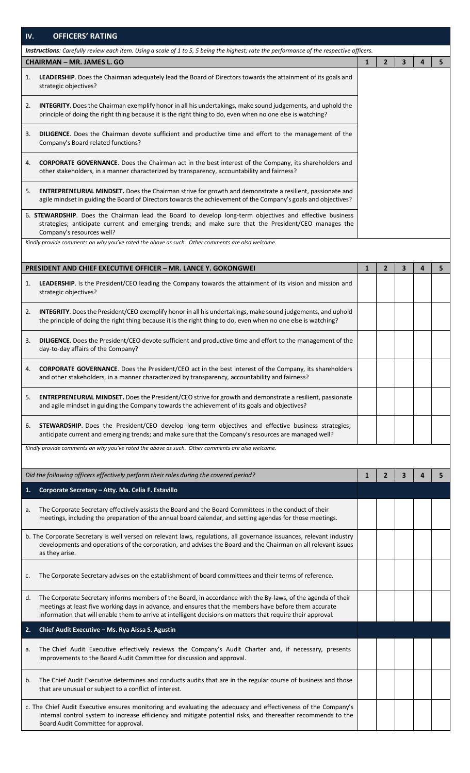| IV. | <b>OFFICERS' RATING</b>                                                                                                                                                                                                                                                                                                                |              |                |   |   |                |
|-----|----------------------------------------------------------------------------------------------------------------------------------------------------------------------------------------------------------------------------------------------------------------------------------------------------------------------------------------|--------------|----------------|---|---|----------------|
|     | <b>Instructions</b> : Carefully review each item. Using a scale of 1 to 5, 5 being the highest; rate the performance of the respective officers.                                                                                                                                                                                       |              |                |   |   |                |
|     | <b>CHAIRMAN - MR. JAMES L. GO</b>                                                                                                                                                                                                                                                                                                      | $\mathbf{1}$ | $\mathbf{2}$   | 3 | 4 | 5              |
| 1.  | LEADERSHIP. Does the Chairman adequately lead the Board of Directors towards the attainment of its goals and<br>strategic objectives?                                                                                                                                                                                                  |              |                |   |   |                |
| 2.  | INTEGRITY. Does the Chairman exemplify honor in all his undertakings, make sound judgements, and uphold the<br>principle of doing the right thing because it is the right thing to do, even when no one else is watching?                                                                                                              |              |                |   |   |                |
| 3.  | DILIGENCE. Does the Chairman devote sufficient and productive time and effort to the management of the<br>Company's Board related functions?                                                                                                                                                                                           |              |                |   |   |                |
| 4.  | <b>CORPORATE GOVERNANCE.</b> Does the Chairman act in the best interest of the Company, its shareholders and<br>other stakeholders, in a manner characterized by transparency, accountability and fairness?                                                                                                                            |              |                |   |   |                |
| 5.  | <b>ENTREPRENEURIAL MINDSET.</b> Does the Chairman strive for growth and demonstrate a resilient, passionate and<br>agile mindset in guiding the Board of Directors towards the achievement of the Company's goals and objectives?                                                                                                      |              |                |   |   |                |
|     | 6. STEWARDSHIP. Does the Chairman lead the Board to develop long-term objectives and effective business<br>strategies; anticipate current and emerging trends; and make sure that the President/CEO manages the<br>Company's resources well?                                                                                           |              |                |   |   |                |
|     | Kindly provide comments on why you've rated the above as such. Other comments are also welcome.                                                                                                                                                                                                                                        |              |                |   |   |                |
|     | <b>PRESIDENT AND CHIEF EXECUTIVE OFFICER - MR. LANCE Y. GOKONGWEI</b>                                                                                                                                                                                                                                                                  | $\mathbf{1}$ | $\overline{2}$ | 3 | 4 | 5 <sub>1</sub> |
| 1.  | LEADERSHIP. Is the President/CEO leading the Company towards the attainment of its vision and mission and<br>strategic objectives?                                                                                                                                                                                                     |              |                |   |   |                |
| 2.  | INTEGRITY. Does the President/CEO exemplify honor in all his undertakings, make sound judgements, and uphold<br>the principle of doing the right thing because it is the right thing to do, even when no one else is watching?                                                                                                         |              |                |   |   |                |
| 3.  | DILIGENCE. Does the President/CEO devote sufficient and productive time and effort to the management of the<br>day-to-day affairs of the Company?                                                                                                                                                                                      |              |                |   |   |                |
| 4.  | <b>CORPORATE GOVERNANCE.</b> Does the President/CEO act in the best interest of the Company, its shareholders<br>and other stakeholders, in a manner characterized by transparency, accountability and fairness?                                                                                                                       |              |                |   |   |                |
| 5.  | ENTREPRENEURIAL MINDSET. Does the President/CEO strive for growth and demonstrate a resilient, passionate<br>and agile mindset in guiding the Company towards the achievement of its goals and objectives?                                                                                                                             |              |                |   |   |                |
| 6.  | STEWARDSHIP. Does the President/CEO develop long-term objectives and effective business strategies;<br>anticipate current and emerging trends; and make sure that the Company's resources are managed well?                                                                                                                            |              |                |   |   |                |
|     | Kindly provide comments on why you've rated the above as such. Other comments are also welcome.                                                                                                                                                                                                                                        |              |                |   |   |                |
|     | Did the following officers effectively perform their roles during the covered period?                                                                                                                                                                                                                                                  | 1            | $\overline{2}$ | 3 | 4 | 5              |
| 1.  | Corporate Secretary - Atty. Ma. Celia F. Estavillo                                                                                                                                                                                                                                                                                     |              |                |   |   |                |
| а.  | The Corporate Secretary effectively assists the Board and the Board Committees in the conduct of their<br>meetings, including the preparation of the annual board calendar, and setting agendas for those meetings.                                                                                                                    |              |                |   |   |                |
|     | b. The Corporate Secretary is well versed on relevant laws, regulations, all governance issuances, relevant industry<br>developments and operations of the corporation, and advises the Board and the Chairman on all relevant issues<br>as they arise.                                                                                |              |                |   |   |                |
| c.  | The Corporate Secretary advises on the establishment of board committees and their terms of reference.                                                                                                                                                                                                                                 |              |                |   |   |                |
| d.  | The Corporate Secretary informs members of the Board, in accordance with the By-laws, of the agenda of their<br>meetings at least five working days in advance, and ensures that the members have before them accurate<br>information that will enable them to arrive at intelligent decisions on matters that require their approval. |              |                |   |   |                |
| 2.  | Chief Audit Executive - Ms. Rya Aissa S. Agustin                                                                                                                                                                                                                                                                                       |              |                |   |   |                |
| a.  | The Chief Audit Executive effectively reviews the Company's Audit Charter and, if necessary, presents<br>improvements to the Board Audit Committee for discussion and approval.                                                                                                                                                        |              |                |   |   |                |
| b.  | The Chief Audit Executive determines and conducts audits that are in the regular course of business and those<br>that are unusual or subject to a conflict of interest.                                                                                                                                                                |              |                |   |   |                |
|     | c. The Chief Audit Executive ensures monitoring and evaluating the adequacy and effectiveness of the Company's<br>internal control system to increase efficiency and mitigate potential risks, and thereafter recommends to the<br>Board Audit Committee for approval.                                                                 |              |                |   |   |                |